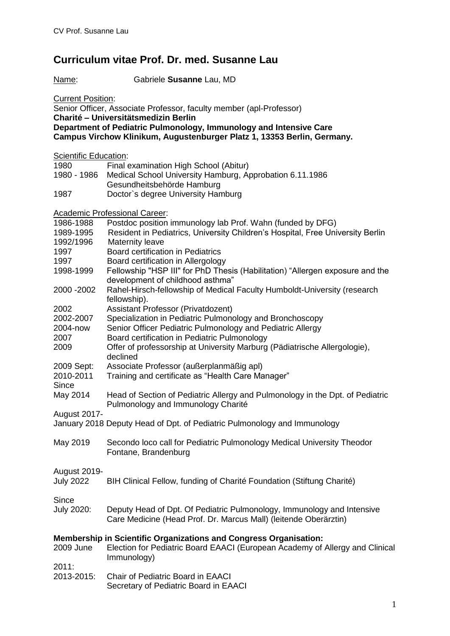## **Curriculum vitae Prof. Dr. med. Susanne Lau**

Name: Gabriele **Susanne** Lau, MD

**Current Position:** 

| Senior Officer, Associate Professor, faculty member (apl-Professor)<br>Charité - Universitätsmedizin Berlin                                   |                                                                                                                                                                  |
|-----------------------------------------------------------------------------------------------------------------------------------------------|------------------------------------------------------------------------------------------------------------------------------------------------------------------|
| Department of Pediatric Pulmonology, Immunology and Intensive Care<br>Campus Virchow Klinikum, Augustenburger Platz 1, 13353 Berlin, Germany. |                                                                                                                                                                  |
| Scientific Education:                                                                                                                         |                                                                                                                                                                  |
| 1980                                                                                                                                          | Final examination High School (Abitur)                                                                                                                           |
| 1980 - 1986                                                                                                                                   | Medical School University Hamburg, Approbation 6.11.1986                                                                                                         |
|                                                                                                                                               | Gesundheitsbehörde Hamburg                                                                                                                                       |
| 1987                                                                                                                                          | Doctor's degree University Hamburg                                                                                                                               |
| <b>Academic Professional Career:</b>                                                                                                          |                                                                                                                                                                  |
| 1986-1988                                                                                                                                     | Postdoc position immunology lab Prof. Wahn (funded by DFG)                                                                                                       |
| 1989-1995                                                                                                                                     | Resident in Pediatrics, University Children's Hospital, Free University Berlin                                                                                   |
| 1992/1996                                                                                                                                     | Maternity leave                                                                                                                                                  |
| 1997                                                                                                                                          | <b>Board certification in Pediatrics</b>                                                                                                                         |
| 1997                                                                                                                                          | Board certification in Allergology                                                                                                                               |
| 1998-1999                                                                                                                                     | Fellowship "HSP III" for PhD Thesis (Habilitation) "Allergen exposure and the<br>development of childhood asthma"                                                |
| 2000 - 2002                                                                                                                                   | Rahel-Hirsch-fellowship of Medical Faculty Humboldt-University (research<br>fellowship).                                                                         |
| 2002                                                                                                                                          | Assistant Professor (Privatdozent)                                                                                                                               |
| 2002-2007                                                                                                                                     | Specialization in Pediatric Pulmonology and Bronchoscopy                                                                                                         |
| 2004-now                                                                                                                                      | Senior Officer Pediatric Pulmonology and Pediatric Allergy                                                                                                       |
| 2007                                                                                                                                          | Board certification in Pediatric Pulmonology                                                                                                                     |
| 2009                                                                                                                                          | Offer of professorship at University Marburg (Pädiatrische Allergologie),<br>declined                                                                            |
| 2009 Sept:                                                                                                                                    | Associate Professor (außerplanmäßig apl)                                                                                                                         |
| 2010-2011                                                                                                                                     | Training and certificate as "Health Care Manager"                                                                                                                |
| <b>Since</b>                                                                                                                                  |                                                                                                                                                                  |
| May 2014                                                                                                                                      | Head of Section of Pediatric Allergy and Pulmonology in the Dpt. of Pediatric<br>Pulmonology and Immunology Charité                                              |
|                                                                                                                                               |                                                                                                                                                                  |
| August 2017-                                                                                                                                  | January 2018 Deputy Head of Dpt. of Pediatric Pulmonology and Immunology                                                                                         |
| May 2019                                                                                                                                      | Secondo loco call for Pediatric Pulmonology Medical University Theodor<br>Fontane, Brandenburg                                                                   |
| <b>August 2019-</b><br><b>July 2022</b>                                                                                                       | BIH Clinical Fellow, funding of Charité Foundation (Stiftung Charité)                                                                                            |
| Since<br>July 2020:                                                                                                                           | Deputy Head of Dpt. Of Pediatric Pulmonology, Immunology and Intensive<br>Care Medicine (Head Prof. Dr. Marcus Mall) (leitende Oberärztin)                       |
| 2009 June<br>2011:                                                                                                                            | Membership in Scientific Organizations and Congress Organisation:<br>Election for Pediatric Board EAACI (European Academy of Allergy and Clinical<br>Immunology) |
|                                                                                                                                               | 2013-2015: Chair of Pediatric Roard in FAACI                                                                                                                     |

2013-2015: Chair of Pediatric Board in EAACI Secretary of Pediatric Board in EAACI